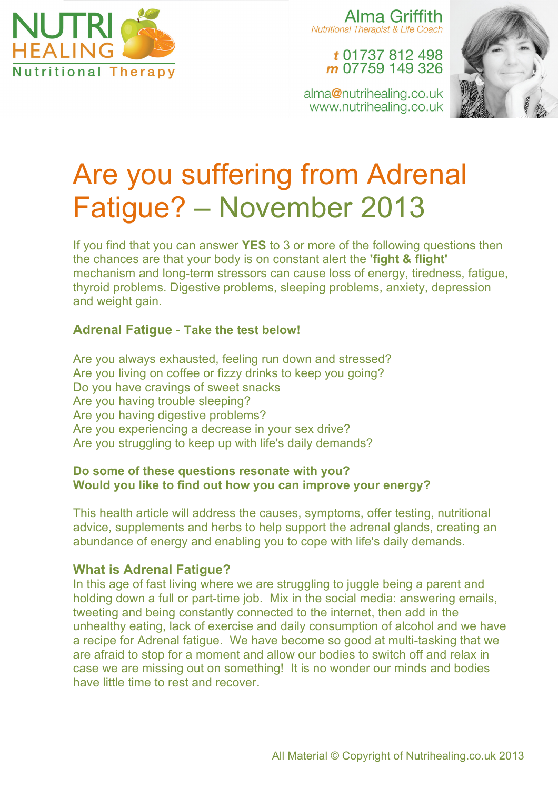

Alma Griffith **Nutritional Therapist & Life Coach** 

### t 01737 812 498 m 07759 149 326

alma@nutrihealing.co.uk www.nutrihealing.co.uk



# Are you suffering from Adrenal Fatigue? – November 2013

If you find that you can answer **YES** to 3 or more of the following questions then the chances are that your body is on constant alert the **'fight & flight'** mechanism and long-term stressors can cause loss of energy, tiredness, fatigue, thyroid problems. Digestive problems, sleeping problems, anxiety, depression and weight gain.

#### **Adrenal Fatigue** - **Take the test below!**

Are you always exhausted, feeling run down and stressed? Are you living on coffee or fizzy drinks to keep you going? Do you have cravings of sweet snacks Are you having trouble sleeping? Are you having digestive problems? Are you experiencing a decrease in your sex drive? Are you struggling to keep up with life's daily demands?

#### **Do some of these questions resonate with you? Would you like to find out how you can improve your energy?**

This health article will address the causes, symptoms, offer testing, nutritional advice, supplements and herbs to help support the adrenal glands, creating an abundance of energy and enabling you to cope with life's daily demands.

#### **What is Adrenal Fatigue?**

In this age of fast living where we are struggling to juggle being a parent and holding down a full or part-time job. Mix in the social media: answering emails, tweeting and being constantly connected to the internet, then add in the unhealthy eating, lack of exercise and daily consumption of alcohol and we have a recipe for Adrenal fatigue. We have become so good at multi-tasking that we are afraid to stop for a moment and allow our bodies to switch off and relax in case we are missing out on something! It is no wonder our minds and bodies have little time to rest and recover.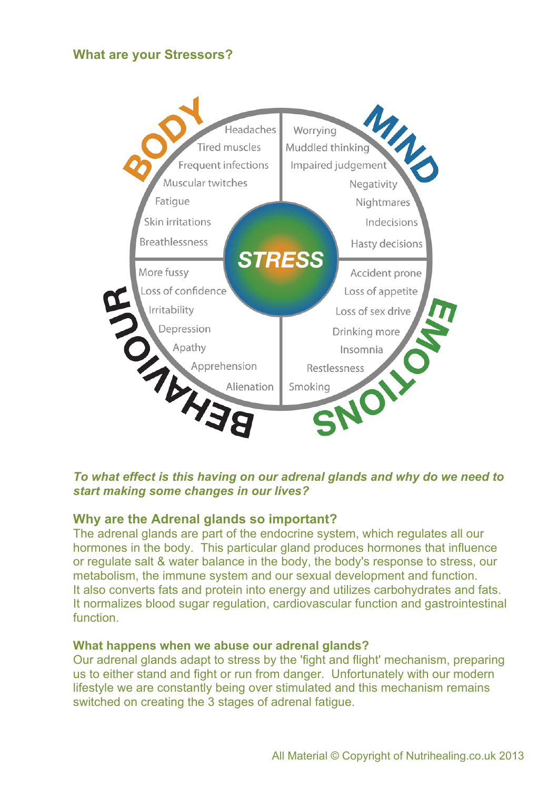#### **What are your Stressors?**



#### *To what effect is this having on our adrenal glands and why do we need to start making some changes in our lives?*

#### **Why are the Adrenal glands so important?**

The adrenal glands are part of the endocrine system, which regulates all our hormones in the body. This particular gland produces hormones that influence or regulate salt & water balance in the body, the body's response to stress, our metabolism, the immune system and our sexual development and function. It also converts fats and protein into energy and utilizes carbohydrates and fats. It normalizes blood sugar regulation, cardiovascular function and gastrointestinal function.

#### **What happens when we abuse our adrenal glands?**

Our adrenal glands adapt to stress by the 'fight and flight' mechanism, preparing us to either stand and fight or run from danger. Unfortunately with our modern lifestyle we are constantly being over stimulated and this mechanism remains switched on creating the 3 stages of adrenal fatigue.